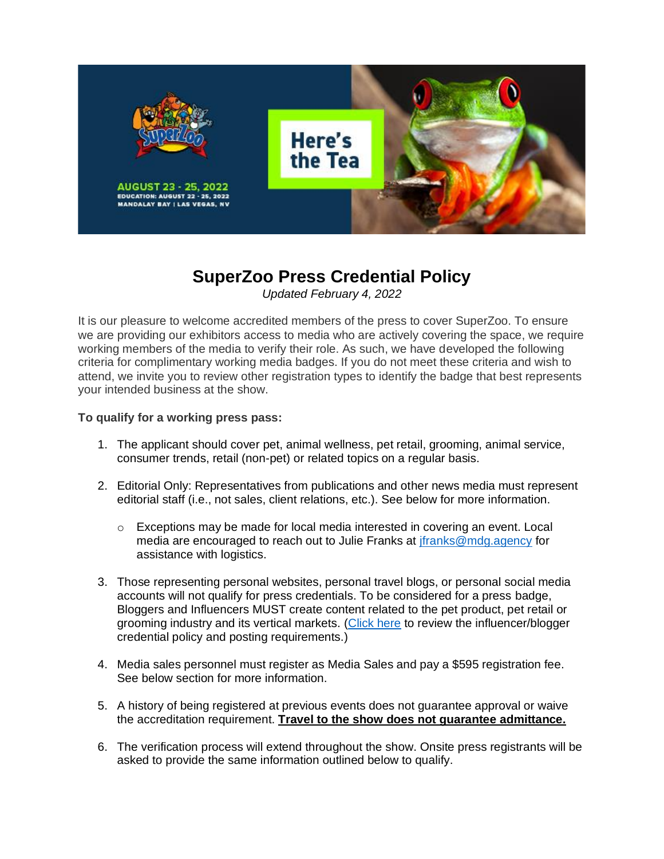

# **SuperZoo Press Credential Policy** *Updated February 4, 2022*

It is our pleasure to welcome accredited members of the press to cover SuperZoo. To ensure we are providing our exhibitors access to media who are actively covering the space, we require working members of the media to verify their role. As such, we have developed the following criteria for complimentary working media badges. If you do not meet these criteria and wish to attend, we invite you to review other registration types to identify the badge that best represents your intended business at the show.

### **To qualify for a working press pass:**

- 1. The applicant should cover pet, animal wellness, pet retail, grooming, animal service, consumer trends, retail (non-pet) or related topics on a regular basis.
- 2. Editorial Only: Representatives from publications and other news media must represent editorial staff (i.e., not sales, client relations, etc.). See below for more information.
	- $\circ$  Exceptions may be made for local media interested in covering an event. Local media are encouraged to reach out to Julie Franks at [jfranks@mdg.agency](mailto:jfranks@mdg.agency) for assistance with logistics.
- 3. Those representing personal websites, personal travel blogs, or personal social media accounts will not qualify for press credentials. To be considered for a press badge, Bloggers and Influencers MUST create content related to the pet product, pet retail or grooming industry and its vertical markets. [\(Click here](https://www.superzoo.org/press/services-contacts/) to review the influencer/blogger credential policy and posting requirements.)
- 4. Media sales personnel must register as Media Sales and pay a \$595 registration fee. See below section for more information.
- 5. A history of being registered at previous events does not guarantee approval or waive the accreditation requirement. **Travel to the show does not guarantee admittance.**
- 6. The verification process will extend throughout the show. Onsite press registrants will be asked to provide the same information outlined below to qualify.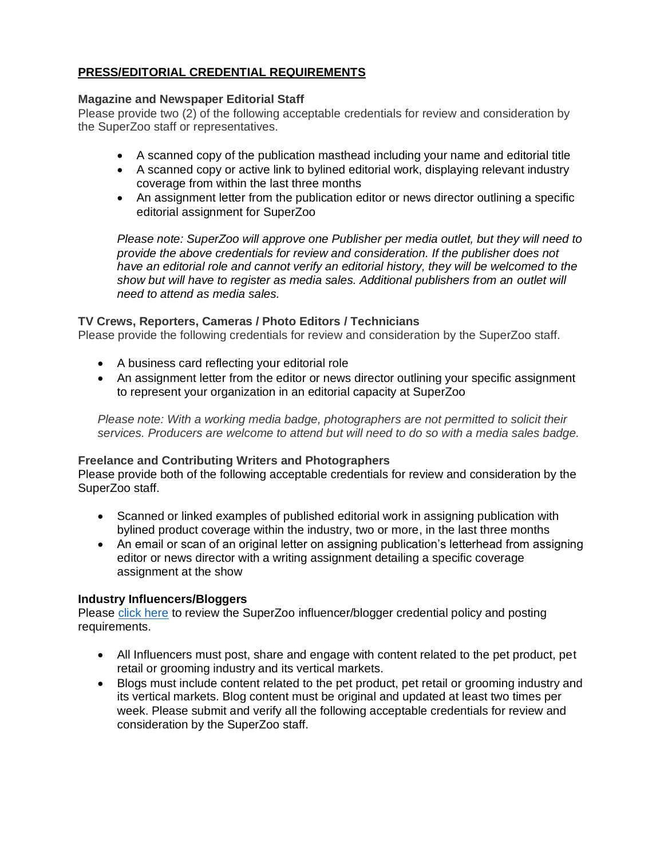# **PRESS/EDITORIAL CREDENTIAL REQUIREMENTS**

#### **Magazine and Newspaper Editorial Staff**

Please provide two (2) of the following acceptable credentials for review and consideration by the SuperZoo staff or representatives.

- A scanned copy of the publication masthead including your name and editorial title
- A scanned copy or active link to bylined editorial work, displaying relevant industry coverage from within the last three months
- An assignment letter from the publication editor or news director outlining a specific editorial assignment for SuperZoo

*Please note: SuperZoo will approve one Publisher per media outlet, but they will need to provide the above credentials for review and consideration. If the publisher does not have an editorial role and cannot verify an editorial history, they will be welcomed to the show but will have to register as media sales. Additional publishers from an outlet will need to attend as media sales.* 

# **TV Crews, Reporters, Cameras / Photo Editors / Technicians**

Please provide the following credentials for review and consideration by the SuperZoo staff.

- A business card reflecting your editorial role
- An assignment letter from the editor or news director outlining your specific assignment to represent your organization in an editorial capacity at SuperZoo

*Please note: With a working media badge, photographers are not permitted to solicit their services. Producers are welcome to attend but will need to do so with a media sales badge.* 

#### **Freelance and Contributing Writers and Photographers**

Please provide both of the following acceptable credentials for review and consideration by the SuperZoo staff.

- Scanned or linked examples of published editorial work in assigning publication with bylined product coverage within the industry, two or more, in the last three months
- An email or scan of an original letter on assigning publication's letterhead from assigning editor or news director with a writing assignment detailing a specific coverage assignment at the show

#### **Industry Influencers/Bloggers**

Please [click here](https://www.superzoo.org/press/services-contacts/) to review the SuperZoo influencer/blogger credential policy and posting requirements.

- All Influencers must post, share and engage with content related to the pet product, pet retail or grooming industry and its vertical markets.
- Blogs must include content related to the pet product, pet retail or grooming industry and its vertical markets. Blog content must be original and updated at least two times per week. Please submit and verify all the following acceptable credentials for review and consideration by the SuperZoo staff.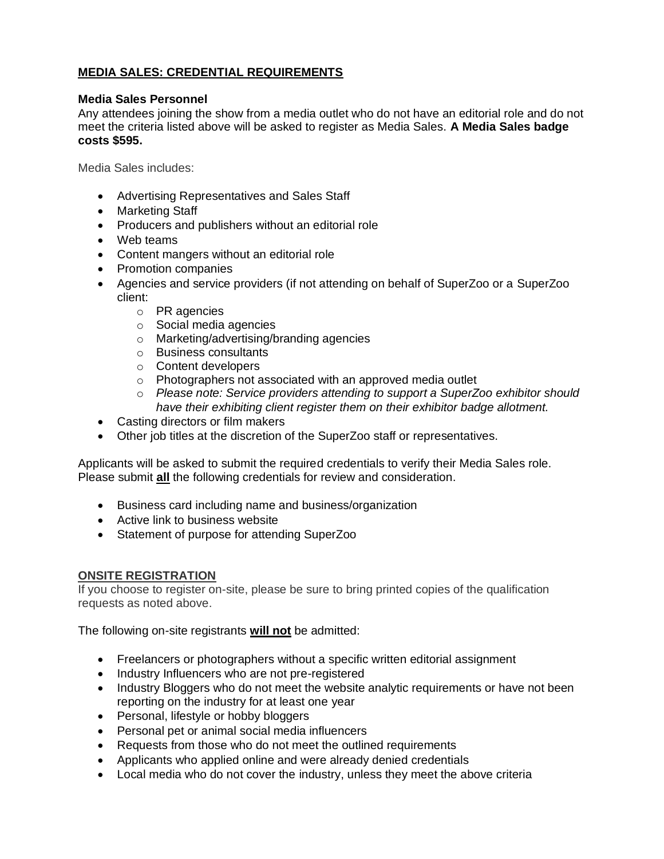# **MEDIA SALES: CREDENTIAL REQUIREMENTS**

### **Media Sales Personnel**

Any attendees joining the show from a media outlet who do not have an editorial role and do not meet the criteria listed above will be asked to register as Media Sales. **A Media Sales badge costs \$595.** 

Media Sales includes:

- Advertising Representatives and Sales Staff
- Marketing Staff
- Producers and publishers without an editorial role
- Web teams
- Content mangers without an editorial role
- Promotion companies
- Agencies and service providers (if not attending on behalf of SuperZoo or a SuperZoo client:
	- o PR agencies
	- o Social media agencies
	- o Marketing/advertising/branding agencies
	- o Business consultants
	- o Content developers
	- o Photographers not associated with an approved media outlet
	- o *Please note: Service providers attending to support a SuperZoo exhibitor should have their exhibiting client register them on their exhibitor badge allotment.*
- Casting directors or film makers
- Other job titles at the discretion of the SuperZoo staff or representatives.

Applicants will be asked to submit the required credentials to verify their Media Sales role. Please submit **all** the following credentials for review and consideration.

- Business card including name and business/organization
- Active link to business website
- Statement of purpose for attending SuperZoo

# **ONSITE REGISTRATION**

If you choose to register on-site, please be sure to bring printed copies of the qualification requests as noted above.

The following on-site registrants **will not** be admitted:

- Freelancers or photographers without a specific written editorial assignment
- Industry Influencers who are not pre-registered
- Industry Bloggers who do not meet the website analytic requirements or have not been reporting on the industry for at least one year
- Personal, lifestyle or hobby bloggers
- Personal pet or animal social media influencers
- Requests from those who do not meet the outlined requirements
- Applicants who applied online and were already denied credentials
- Local media who do not cover the industry, unless they meet the above criteria